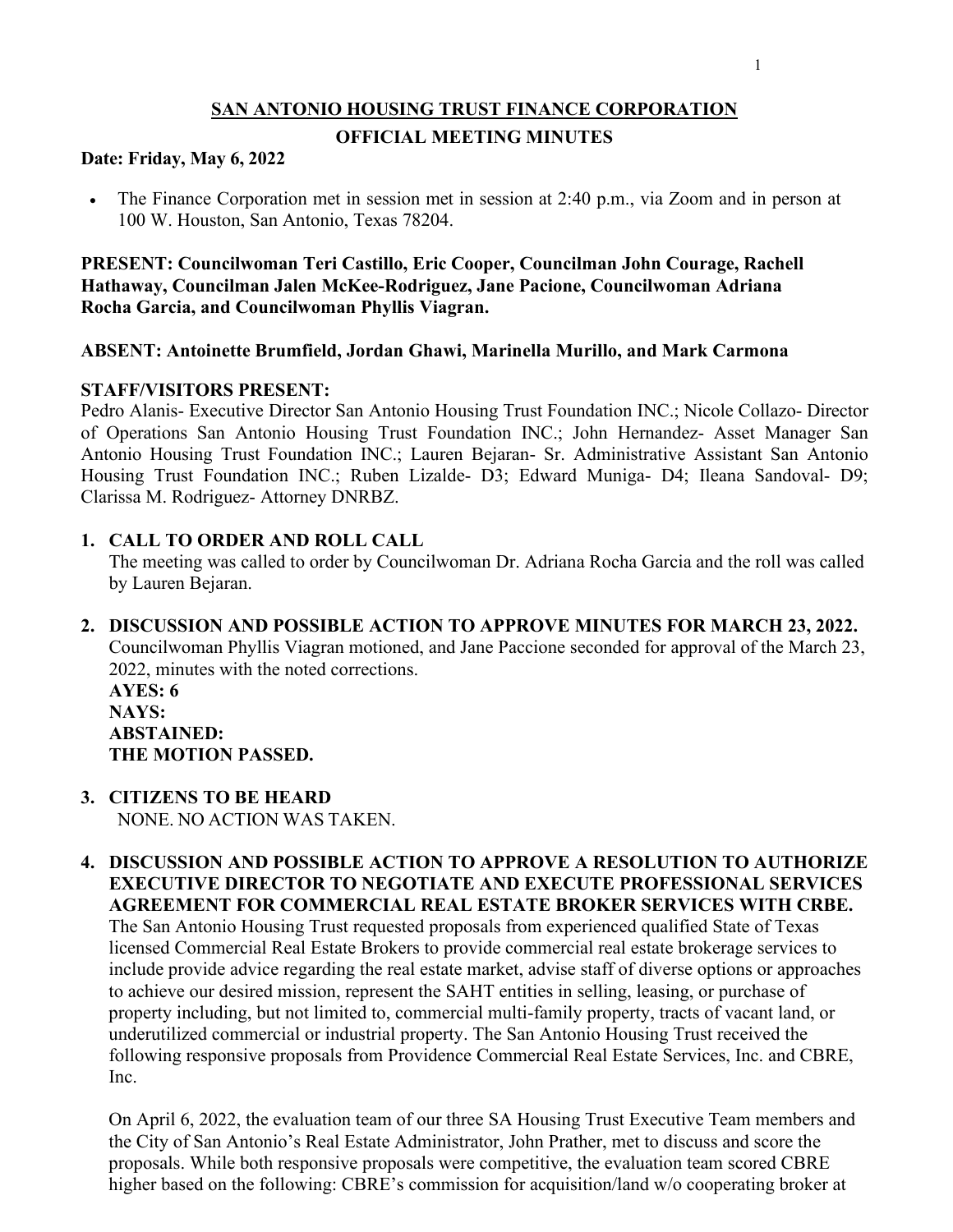# **SAN ANTONIO HOUSING TRUST FINANCE CORPORATION**

### **OFFICIAL MEETING MINUTES**

### **Date: Friday, May 6, 2022**

• The Finance Corporation met in session met in session at 2:40 p.m., via Zoom and in person at 100 W. Houston, San Antonio, Texas 78204.

**PRESENT: Councilwoman Teri Castillo, Eric Cooper, Councilman John Courage, Rachell Hathaway, Councilman Jalen McKee-Rodriguez, Jane Pacione, Councilwoman Adriana Rocha Garcia, and Councilwoman Phyllis Viagran.**

## **ABSENT: Antoinette Brumfield, Jordan Ghawi, Marinella Murillo, and Mark Carmona**

### **STAFF/VISITORS PRESENT:**

Pedro Alanis- Executive Director San Antonio Housing Trust Foundation INC.; Nicole Collazo- Director of Operations San Antonio Housing Trust Foundation INC.; John Hernandez- Asset Manager San Antonio Housing Trust Foundation INC.; Lauren Bejaran- Sr. Administrative Assistant San Antonio Housing Trust Foundation INC.; Ruben Lizalde- D3; Edward Muniga- D4; Ileana Sandoval- D9; Clarissa M. Rodriguez- Attorney DNRBZ.

## **1. CALL TO ORDER AND ROLL CALL**

The meeting was called to order by Councilwoman Dr. Adriana Rocha Garcia and the roll was called by Lauren Bejaran.

**2. DISCUSSION AND POSSIBLE ACTION TO APPROVE MINUTES FOR MARCH 23, 2022.** Councilwoman Phyllis Viagran motioned, and Jane Paccione seconded for approval of the March 23, 2022, minutes with the noted corrections.

**AYES: 6 NAYS: ABSTAINED: THE MOTION PASSED.**

- **3. CITIZENS TO BE HEARD**  NONE. NO ACTION WAS TAKEN.
- **4. DISCUSSION AND POSSIBLE ACTION TO APPROVE A RESOLUTION TO AUTHORIZE EXECUTIVE DIRECTOR TO NEGOTIATE AND EXECUTE PROFESSIONAL SERVICES AGREEMENT FOR COMMERCIAL REAL ESTATE BROKER SERVICES WITH CRBE.** The San Antonio Housing Trust requested proposals from experienced qualified State of Texas licensed Commercial Real Estate Brokers to provide commercial real estate brokerage services to include provide advice regarding the real estate market, advise staff of diverse options or approaches to achieve our desired mission, represent the SAHT entities in selling, leasing, or purchase of property including, but not limited to, commercial multi-family property, tracts of vacant land, or underutilized commercial or industrial property. The San Antonio Housing Trust received the following responsive proposals from Providence Commercial Real Estate Services, Inc. and CBRE, Inc.

On April 6, 2022, the evaluation team of our three SA Housing Trust Executive Team members and the City of San Antonio's Real Estate Administrator, John Prather, met to discuss and score the proposals. While both responsive proposals were competitive, the evaluation team scored CBRE higher based on the following: CBRE's commission for acquisition/land w/o cooperating broker at